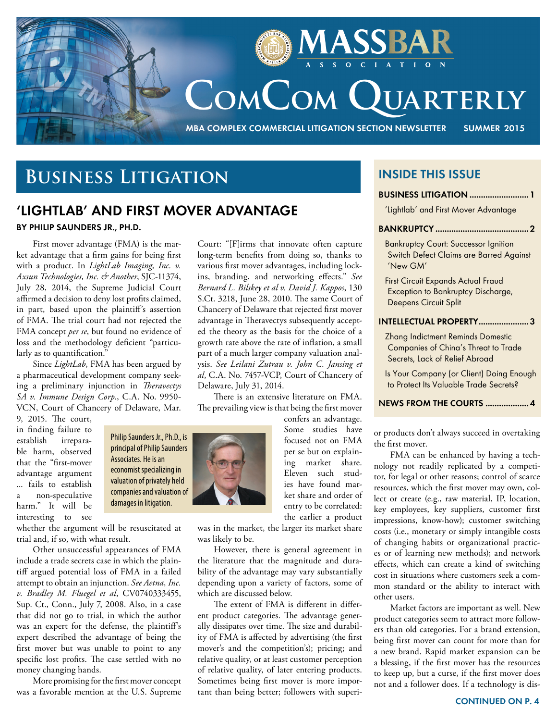

# **Business Litigation**

## **'LIGHTLAB' AND FIRST MOVER ADVANTAGE**

#### **By Philip Saunders Jr., Ph.D.**

First mover advantage (FMA) is the market advantage that a firm gains for being first with a product. In *LightLab Imaging, Inc. v. Axsun Technologies, Inc. & Another*, SJC-11374, July 28, 2014, the Supreme Judicial Court affirmed a decision to deny lost profits claimed, in part, based upon the plaintiff's assertion of FMA. The trial court had not rejected the FMA concept *per se*, but found no evidence of loss and the methodology deficient "particularly as to quantification."

Since *LightLab*, FMA has been argued by a pharmaceutical development company seeking a preliminary injunction in *Theravectys SA v. Immune Design Corp.*, C.A. No. 9950- VCN, Court of Chancery of Delaware, Mar.

9, 2015. The court, in finding failure to establish irreparable harm, observed that the "first-mover advantage argument ... fails to establish a non-speculative harm." It will be interesting to see

Philip Saunders Jr., Ph.D., is principal of Philip Saunders Associates. He is an economist specializing in valuation of privately held companies and valuation of damages in litigation.

whether the argument will be resuscitated at trial and, if so, with what result.

Other unsuccessful appearances of FMA include a trade secrets case in which the plaintiff argued potential loss of FMA in a failed attempt to obtain an injunction. *See Aetna, Inc. v. Bradley M. Fluegel et al*, CV0740333455, Sup. Ct., Conn., July 7, 2008. Also, in a case that did not go to trial, in which the author was an expert for the defense, the plaintiff's expert described the advantage of being the first mover but was unable to point to any specific lost profits. The case settled with no money changing hands.

More promising for the first mover concept was a favorable mention at the U.S. Supreme Court: "[F]irms that innovate often capture long-term benefits from doing so, thanks to various first mover advantages, including lockins, branding, and networking effects." *See Bernard L. Bilskey et al v. David J. Kappos*, 130 S.Ct. 3218, June 28, 2010. The same Court of Chancery of Delaware that rejected first mover advantage in Theravectys subsequently accepted the theory as the basis for the choice of a growth rate above the rate of inflation, a small part of a much larger company valuation analysis. *See Leilani Zutrau v. John C. Jansing et al*, C.A. No. 7457-VCP, Court of Chancery of Delaware, July 31, 2014.

There is an extensive literature on FMA. The prevailing view is that being the first mover

confers an advantage. Some studies have focused not on FMA per se but on explaining market share. Eleven such studies have found market share and order of entry to be correlated: the earlier a product

was in the market, the larger its market share was likely to be.

However, there is general agreement in the literature that the magnitude and durability of the advantage may vary substantially depending upon a variety of factors, some of which are discussed below.

The extent of FMA is different in different product categories. The advantage generally dissipates over time. The size and durability of FMA is affected by advertising (the first mover's and the competition's); pricing; and relative quality, or at least customer perception of relative quality, of later entering products. Sometimes being first mover is more important than being better; followers with superi-

### **inside this issue**

#### **business litigation ..........................1**

'Lightlab' and First Mover Advantage

#### **Bankruptcy .........................................2**

Bankruptcy Court: Successor Ignition Switch Defect Claims are Barred Against 'New GM'

First Circuit Expands Actual Fraud Exception to Bankruptcy Discharge, Deepens Circuit Split

#### **Intellectual Property......................3**

Zhang Indictment Reminds Domestic Companies of China's Threat to Trade Secrets, Lack of Relief Abroad

Is Your Company (or Client) Doing Enough to Protect Its Valuable Trade Secrets?

#### **News from the Courts ...................4**

or products don't always succeed in overtaking the first mover.

FMA can be enhanced by having a technology not readily replicated by a competitor, for legal or other reasons; control of scarce resources, which the first mover may own, collect or create (e.g., raw material, IP, location, key employees, key suppliers, customer first impressions, know-how); customer switching costs (i.e., monetary or simply intangible costs of changing habits or organizational practices or of learning new methods); and network effects, which can create a kind of switching cost in situations where customers seek a common standard or the ability to interact with other users.

Market factors are important as well. New product categories seem to attract more followers than old categories. For a brand extension, being first mover can count for more than for a new brand. Rapid market expansion can be a blessing, if the first mover has the resources to keep up, but a curse, if the first mover does not and a follower does. If a technology is dis-

#### **Continued on p. 4**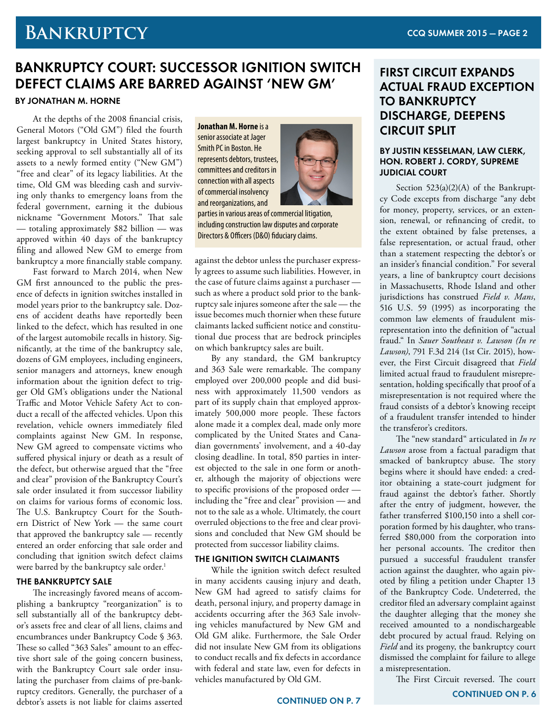## **Bankruptcy**

## **BANKRUPTCY COURT: SUCCESSOR IGNITION SWITCH DEFECT CLAIMS ARE BARRED AGAINST 'NEW GM'**

#### **By Jonathan M. Horne**

At the depths of the 2008 financial crisis, General Motors ("Old GM") filed the fourth largest bankruptcy in United States history, seeking approval to sell substantially all of its assets to a newly formed entity ("New GM") "free and clear" of its legacy liabilities. At the time, Old GM was bleeding cash and surviving only thanks to emergency loans from the federal government, earning it the dubious nickname "Government Motors." That sale — totaling approximately \$82 billion — was approved within 40 days of the bankruptcy filing and allowed New GM to emerge from bankruptcy a more financially stable company.

Fast forward to March 2014, when New GM first announced to the public the presence of defects in ignition switches installed in model years prior to the bankruptcy sale. Dozens of accident deaths have reportedly been linked to the defect, which has resulted in one of the largest automobile recalls in history. Significantly, at the time of the bankruptcy sale, dozens of GM employees, including engineers, senior managers and attorneys, knew enough information about the ignition defect to trigger Old GM's obligations under the National Traffic and Motor Vehicle Safety Act to conduct a recall of the affected vehicles. Upon this revelation, vehicle owners immediately filed complaints against New GM. In response, New GM agreed to compensate victims who suffered physical injury or death as a result of the defect, but otherwise argued that the "free and clear" provision of the Bankruptcy Court's sale order insulated it from successor liability on claims for various forms of economic loss. The U.S. Bankruptcy Court for the Southern District of New York — the same court that approved the bankruptcy sale — recently entered an order enforcing that sale order and concluding that ignition switch defect claims were barred by the bankruptcy sale order.<sup>1</sup>

#### **THE BANKRUPTCY SALE**

The increasingly favored means of accomplishing a bankruptcy "reorganization" is to sell substantially all of the bankruptcy debtor's assets free and clear of all liens, claims and encumbrances under Bankruptcy Code § 363. These so called "363 Sales" amount to an effective short sale of the going concern business, with the Bankruptcy Court sale order insulating the purchaser from claims of pre-bankruptcy creditors. Generally, the purchaser of a debtor's assets is not liable for claims asserted **Jonathan M. Horne** is a senior associate at Jager Smith PC in Boston. He represents debtors, trustees, committees and creditors in connection with all aspects of commercial insolvency and reorganizations, and



parties in various areas of commercial litigation, including construction law disputes and corporate Directors & Officers (D&O) fiduciary claims.

against the debtor unless the purchaser expressly agrees to assume such liabilities. However, in the case of future claims against a purchaser such as where a product sold prior to the bankruptcy sale injures someone after the sale — the issue becomes much thornier when these future claimants lacked sufficient notice and constitutional due process that are bedrock principles on which bankruptcy sales are built.

By any standard, the GM bankruptcy and 363 Sale were remarkable. The company employed over 200,000 people and did business with approximately 11,500 vendors as part of its supply chain that employed approximately 500,000 more people. These factors alone made it a complex deal, made only more complicated by the United States and Canadian governments' involvement, and a 40-day closing deadline. In total, 850 parties in interest objected to the sale in one form or another, although the majority of objections were to specific provisions of the proposed order including the "free and clear" provision — and not to the sale as a whole. Ultimately, the court overruled objections to the free and clear provisions and concluded that New GM should be protected from successor liability claims.

#### **THE IGNITION SWITCH CLAIMANTS**

While the ignition switch defect resulted in many accidents causing injury and death, New GM had agreed to satisfy claims for death, personal injury, and property damage in accidents occurring after the 363 Sale involving vehicles manufactured by New GM and Old GM alike. Furthermore, the Sale Order did not insulate New GM from its obligations to conduct recalls and fix defects in accordance with federal and state law, even for defects in vehicles manufactured by Old GM.

#### **ContinueD on P. 7**

## **FIRST CIRCUIT EXPANDS ACTUAL FRAUD EXCEPTION TO BANKRUPTCY DISCHARGE, DEEPENS CIRCUIT SPLIT**

#### **By Justin Kesselman, Law Clerk, Hon. Robert J. Cordy, Supreme Judicial Court**

Section 523(a)(2)(A) of the Bankruptcy Code excepts from discharge "any debt for money, property, services, or an extension, renewal, or refinancing of credit, to the extent obtained by false pretenses, a false representation, or actual fraud, other than a statement respecting the debtor's or an insider's financial condition." For several years, a line of bankruptcy court decisions in Massachusetts, Rhode Island and other jurisdictions has construed *Field v. Mans*, 516 U.S. 59 (1995) as incorporating the common law elements of fraudulent misrepresentation into the definition of "actual fraud." In *Sauer Southeast v. Lawson (In re Lawson)*, 791 F.3d 214 (1st Cir. 2015), however, the First Circuit disagreed that *Field* limited actual fraud to fraudulent misrepresentation, holding specifically that proof of a misrepresentation is not required where the fraud consists of a debtor's knowing receipt of a fraudulent transfer intended to hinder the transferor's creditors.

The "new standard" articulated in *In re Lawson* arose from a factual paradigm that smacked of bankruptcy abuse. The story begins where it should have ended: a creditor obtaining a state-court judgment for fraud against the debtor's father. Shortly after the entry of judgment, however, the father transferred \$100,150 into a shell corporation formed by his daughter, who transferred \$80,000 from the corporation into her personal accounts. The creditor then pursued a successful fraudulent transfer action against the daughter, who again pivoted by filing a petition under Chapter 13 of the Bankruptcy Code. Undeterred, the creditor filed an adversary complaint against the daughter alleging that the money she received amounted to a nondischargeable debt procured by actual fraud. Relying on *Field* and its progeny, the bankruptcy court dismissed the complaint for failure to allege a misrepresentation.

The First Circuit reversed. The court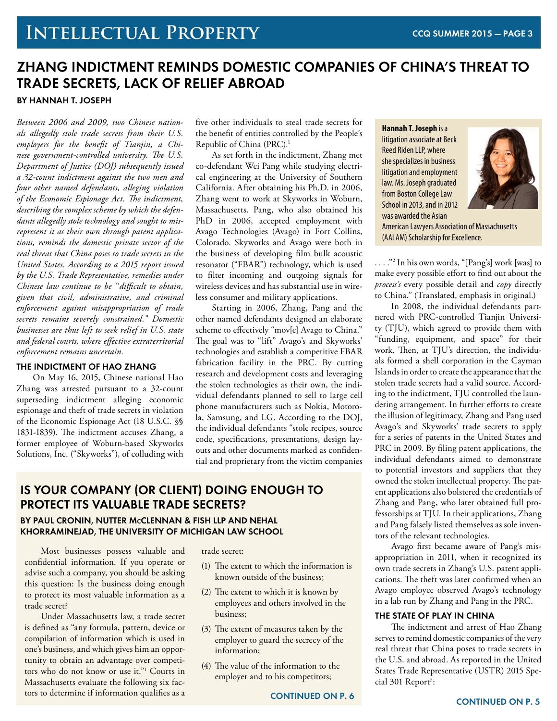# **Intellectual Property**

## **ZHANG INDICTMENT REMINDS DOMESTIC COMPANIES OF CHINA'S THREAT TO TRADE SECRETS, LACK OF RELIEF ABROAD By Hannah T. Joseph**

*Between 2006 and 2009, two Chinese nationals allegedly stole trade secrets from their U.S. employers for the benefit of Tianjin, a Chinese government-controlled university. The U.S. Department of Justice (DOJ) subsequently issued a 32-count indictment against the two men and four other named defendants, alleging violation of the Economic Espionage Act. The indictment, describing the complex scheme by which the defendants allegedly stole technology and sought to misrepresent it as their own through patent applications, reminds the domestic private sector of the real threat that China poses to trade secrets in the United States. According to a 2015 report issued by the U.S. Trade Representative, remedies under Chinese law continue to be "difficult to obtain, given that civil, administrative, and criminal enforcement against misappropriation of trade secrets remains severely constrained." Domestic businesses are thus left to seek relief in U.S. state and federal courts, where effective extraterritorial enforcement remains uncertain.*

#### **THE INDICTMENT OF HAO ZHANG**

On May 16, 2015, Chinese national Hao Zhang was arrested pursuant to a 32-count superseding indictment alleging economic espionage and theft of trade secrets in violation of the Economic Espionage Act (18 U.S.C. §§ 1831-1839). The indictment accuses Zhang, a former employee of Woburn-based Skyworks Solutions, Inc. ("Skyworks"), of colluding with

five other individuals to steal trade secrets for the benefit of entities controlled by the People's Republic of China (PRC).1

As set forth in the indictment, Zhang met co-defendant Wei Pang while studying electrical engineering at the University of Southern California. After obtaining his Ph.D. in 2006, Zhang went to work at Skyworks in Woburn, Massachusetts. Pang, who also obtained his PhD in 2006, accepted employment with Avago Technologies (Avago) in Fort Collins, Colorado. Skyworks and Avago were both in the business of developing film bulk acoustic resonator ("FBAR") technology, which is used to filter incoming and outgoing signals for wireless devices and has substantial use in wireless consumer and military applications.

Starting in 2006, Zhang, Pang and the other named defendants designed an elaborate scheme to effectively "mov[e] Avago to China." The goal was to "lift" Avago's and Skyworks' technologies and establish a competitive FBAR fabrication facility in the PRC. By cutting research and development costs and leveraging the stolen technologies as their own, the individual defendants planned to sell to large cell phone manufacturers such as Nokia, Motorola, Samsung, and LG. According to the DOJ, the individual defendants "stole recipes, source code, specifications, presentations, design layouts and other documents marked as confidential and proprietary from the victim companies

### **IS YOUR COMPANY (OR CLIENT) DOING ENOUGH TO PROTECT ITS VALUABLE TRADE SECRETS?**

#### **By Paul Cronin, Nutter McClennan & Fish LLP and Nehal Khorraminejad, the University of Michigan Law School**

Most businesses possess valuable and confidential information. If you operate or advise such a company, you should be asking this question: Is the business doing enough to protect its most valuable information as a trade secret?

Under Massachusetts law, a trade secret is defined as "any formula, pattern, device or compilation of information which is used in one's business, and which gives him an opportunity to obtain an advantage over competitors who do not know or use it."1 Courts in Massachusetts evaluate the following six factors to determine if information qualifies as a

trade secret:

- (1) The extent to which the information is known outside of the business;
- (2) The extent to which it is known by employees and others involved in the business;
- (3) The extent of measures taken by the employer to guard the secrecy of the information;
- (4) The value of the information to the employer and to his competitors;

**Hannah T. Joseph** is a litigation associate at Beck Reed Riden LLP, where she specializes in business litigation and employment law. Ms. Joseph graduated from Boston College Law School in 2013, and in 2012 was awarded the Asian



American Lawyers Association of Massachusetts (AALAM) Scholarship for Excellence.

. . . ."2 In his own words, "[Pang's] work [was] to make every possible effort to find out about the *process's* every possible detail and *copy* directly to China." (Translated, emphasis in original.)

In 2008, the individual defendants partnered with PRC-controlled Tianjin University (TJU), which agreed to provide them with "funding, equipment, and space" for their work. Then, at TJU's direction, the individuals formed a shell corporation in the Cayman Islands in order to create the appearance that the stolen trade secrets had a valid source. According to the indictment, TJU controlled the laundering arrangement. In further efforts to create the illusion of legitimacy, Zhang and Pang used Avago's and Skyworks' trade secrets to apply for a series of patents in the United States and PRC in 2009. By filing patent applications, the individual defendants aimed to demonstrate to potential investors and suppliers that they owned the stolen intellectual property. The patent applications also bolstered the credentials of Zhang and Pang, who later obtained full professorships at TJU. In their applications, Zhang and Pang falsely listed themselves as sole inventors of the relevant technologies.

Avago first became aware of Pang's misappropriation in 2011, when it recognized its own trade secrets in Zhang's U.S. patent applications. The theft was later confirmed when an Avago employee observed Avago's technology in a lab run by Zhang and Pang in the PRC.

#### **THE STATE OF PLAY IN CHINA**

The indictment and arrest of Hao Zhang serves to remind domestic companies of the very real threat that China poses to trade secrets in the U.S. and abroad. As reported in the United States Trade Representative (USTR) 2015 Special 301 Report<sup>3</sup>: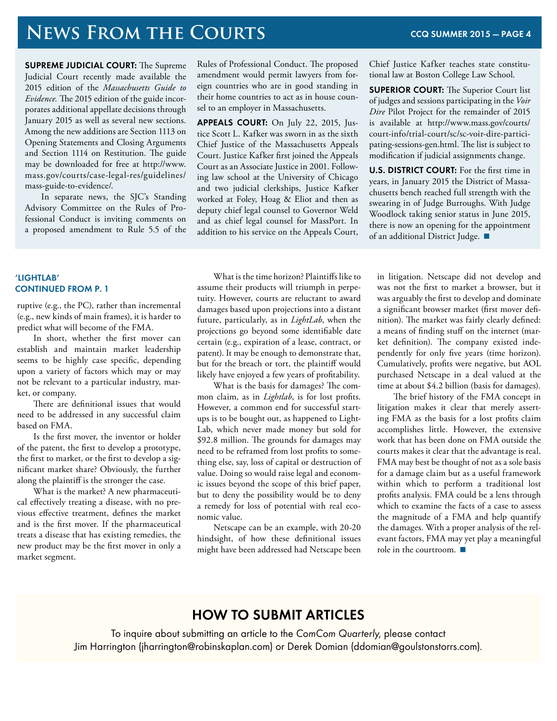# **NEWS FROM THE COURTS** CCQ SUMMER 2015 – PAGE 4

**SUPREME JUDICIAL COURT:** The Supreme Judicial Court recently made available the 2015 edition of the *Massachusetts Guide to Evidence.* The 2015 edition of the guide incorporates additional appellate decisions through January 2015 as well as several new sections. Among the new additions are Section 1113 on Opening Statements and Closing Arguments and Section 1114 on Restitution. The guide may be downloaded for free at http://www. mass.gov/courts/case-legal-res/guidelines/ mass-guide-to-evidence/.

In separate news, the SJC's Standing Advisory Committee on the Rules of Professional Conduct is inviting comments on a proposed amendment to Rule 5.5 of the

#### Rules of Professional Conduct. The proposed amendment would permit lawyers from foreign countries who are in good standing in their home countries to act as in house counsel to an employer in Massachusetts.

**Appeals Court:** On July 22, 2015, Justice Scott L. Kafker was sworn in as the sixth Chief Justice of the Massachusetts Appeals Court. Justice Kafker first joined the Appeals Court as an Associate Justice in 2001. Following law school at the University of Chicago and two judicial clerkships, Justice Kafker worked at Foley, Hoag & Eliot and then as deputy chief legal counsel to Governor Weld and as chief legal counsel for MassPort. In addition to his service on the Appeals Court, Chief Justice Kafker teaches state constitutional law at Boston College Law School.

**SUPERIOR COURT:** The Superior Court list of judges and sessions participating in the *Voir Dire* Pilot Project for the remainder of 2015 is available at http://www.mass.gov/courts/ court-info/trial-court/sc/sc-voir-dire-participating-sessions-gen.html. The list is subject to modification if judicial assignments change.

**U.S. District Court:** For the first time in years, in January 2015 the District of Massachusetts bench reached full strength with the swearing in of Judge Burroughs. With Judge Woodlock taking senior status in June 2015, there is now an opening for the appointment of an additional District Judge.

#### **'Lightlab' ContinueD from p. 1**

ruptive (e.g., the PC), rather than incremental (e.g., new kinds of main frames), it is harder to predict what will become of the FMA.

In short, whether the first mover can establish and maintain market leadership seems to be highly case specific, depending upon a variety of factors which may or may not be relevant to a particular industry, market, or company.

There are definitional issues that would need to be addressed in any successful claim based on FMA.

Is the first mover, the inventor or holder of the patent, the first to develop a prototype, the first to market, or the first to develop a significant market share? Obviously, the further along the plaintiff is the stronger the case.

What is the market? A new pharmaceutical effectively treating a disease, with no previous effective treatment, defines the market and is the first mover. If the pharmaceutical treats a disease that has existing remedies, the new product may be the first mover in only a market segment.

What is the time horizon? Plaintiffs like to assume their products will triumph in perpetuity. However, courts are reluctant to award damages based upon projections into a distant future, particularly, as in *LightLab*, when the projections go beyond some identifiable date certain (e.g., expiration of a lease, contract, or patent). It may be enough to demonstrate that, but for the breach or tort, the plaintiff would likely have enjoyed a few years of profitability.

What is the basis for damages? The common claim, as in *Lightlab*, is for lost profits. However, a common end for successful startups is to be bought out, as happened to Light-Lab, which never made money but sold for \$92.8 million. The grounds for damages may need to be reframed from lost profits to something else, say, loss of capital or destruction of value. Doing so would raise legal and economic issues beyond the scope of this brief paper, but to deny the possibility would be to deny a remedy for loss of potential with real economic value.

Netscape can be an example, with 20-20 hindsight, of how these definitional issues might have been addressed had Netscape been in litigation. Netscape did not develop and was not the first to market a browser, but it was arguably the first to develop and dominate a significant browser market (first mover definition). The market was fairly clearly defined: a means of finding stuff on the internet (market definition). The company existed independently for only five years (time horizon). Cumulatively, profits were negative, but AOL purchased Netscape in a deal valued at the time at about \$4.2 billion (basis for damages).

The brief history of the FMA concept in litigation makes it clear that merely asserting FMA as the basis for a lost profits claim accomplishes little. However, the extensive work that has been done on FMA outside the courts makes it clear that the advantage is real. FMA may best be thought of not as a sole basis for a damage claim but as a useful framework within which to perform a traditional lost profits analysis. FMA could be a lens through which to examine the facts of a case to assess the magnitude of a FMA and help quantify the damages. With a proper analysis of the relevant factors, FMA may yet play a meaningful role in the courtroom.

## **How to Submit Articles**

To inquire about submitting an article to the ComCom Quarterly, please contact Jim Harrington (jharrington@robinskaplan.com) or Derek Domian (ddomian@goulstonstorrs.com).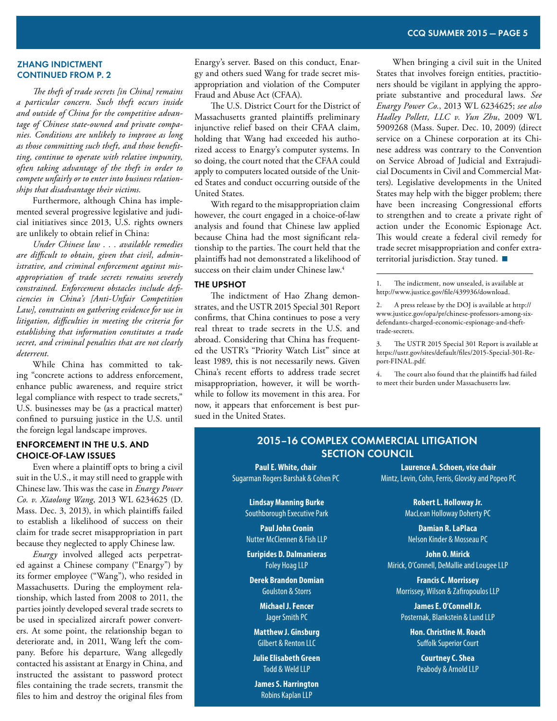#### **zhang indictment ContinueD from p. 2**

*The theft of trade secrets [in China] remains a particular concern. Such theft occurs inside and outside of China for the competitive advantage of Chinese state-owned and private companies. Conditions are unlikely to improve as long as those committing such theft, and those benefitting, continue to operate with relative impunity, often taking advantage of the theft in order to compete unfairly or to enter into business relationships that disadvantage their victims.*

Furthermore, although China has implemented several progressive legislative and judicial initiatives since 2013, U.S. rights owners are unlikely to obtain relief in China:

*Under Chinese law . . . available remedies are difficult to obtain, given that civil, administrative, and criminal enforcement against misappropriation of trade secrets remains severely constrained. Enforcement obstacles include deficiencies in China's [Anti-Unfair Competition Law], constraints on gathering evidence for use in litigation, difficulties in meeting the criteria for establishing that information constitutes a trade secret, and criminal penalties that are not clearly deterrent.*

While China has committed to taking "concrete actions to address enforcement, enhance public awareness, and require strict legal compliance with respect to trade secrets," U.S. businesses may be (as a practical matter) confined to pursuing justice in the U.S. until the foreign legal landscape improves.

#### **ENFORCEMENT IN THE U.S. AND CHOICE-OF-LAW ISSUES**

Even where a plaintiff opts to bring a civil suit in the U.S., it may still need to grapple with Chinese law. This was the case in *Enargy Power Co. v. Xiaolong Wang*, 2013 WL 6234625 (D. Mass. Dec. 3, 2013), in which plaintiffs failed to establish a likelihood of success on their claim for trade secret misappropriation in part because they neglected to apply Chinese law.

*Enargy* involved alleged acts perpetrated against a Chinese company ("Enargy") by its former employee ("Wang"), who resided in Massachusetts. During the employment relationship, which lasted from 2008 to 2011, the parties jointly developed several trade secrets to be used in specialized aircraft power converters. At some point, the relationship began to deteriorate and, in 2011, Wang left the company. Before his departure, Wang allegedly contacted his assistant at Enargy in China, and instructed the assistant to password protect files containing the trade secrets, transmit the files to him and destroy the original files from Enargy's server. Based on this conduct, Enargy and others sued Wang for trade secret misappropriation and violation of the Computer Fraud and Abuse Act (CFAA).

The U.S. District Court for the District of Massachusetts granted plaintiffs preliminary injunctive relief based on their CFAA claim, holding that Wang had exceeded his authorized access to Enargy's computer systems. In so doing, the court noted that the CFAA could apply to computers located outside of the United States and conduct occurring outside of the United States.

With regard to the misappropriation claim however, the court engaged in a choice-of-law analysis and found that Chinese law applied because China had the most significant relationship to the parties. The court held that the plaintiffs had not demonstrated a likelihood of success on their claim under Chinese law.4

#### **THE UPSHOT**

The indictment of Hao Zhang demonstrates, and the USTR 2015 Special 301 Report confirms, that China continues to pose a very real threat to trade secrets in the U.S. and abroad. Considering that China has frequented the USTR's "Priority Watch List" since at least 1989, this is not necessarily news. Given China's recent efforts to address trade secret misappropriation, however, it will be worthwhile to follow its movement in this area. For now, it appears that enforcement is best pursued in the United States.

When bringing a civil suit in the United States that involves foreign entities, practitioners should be vigilant in applying the appropriate substantive and procedural laws. *See Enargy Power Co.*, 2013 WL 6234625; *see also Hadley Pollett, LLC v. Yun Zhu*, 2009 WL 5909268 (Mass. Super. Dec. 10, 2009) (direct service on a Chinese corporation at its Chinese address was contrary to the Convention on Service Abroad of Judicial and Extrajudicial Documents in Civil and Commercial Matters). Legislative developments in the United States may help with the bigger problem; there have been increasing Congressional efforts to strengthen and to create a private right of action under the Economic Espionage Act. This would create a federal civil remedy for trade secret misappropriation and confer extraterritorial jurisdiction. Stay tuned. ■

1. The indictment, now unsealed, is available at http://www.justice.gov/file/439936/download.

3. The USTR 2015 Special 301 Report is available at https://ustr.gov/sites/default/files/2015-Special-301-Report-FINAL.pdf.

4. The court also found that the plaintiffs had failed to meet their burden under Massachusetts law.

#### **2015–16 Complex Commercial Litigation Section Council**

 $\overline{a}$ 

**Paul E. White, chair** Sugarman Rogers Barshak & Cohen PC

> **Lindsay Manning Burke** Southborough Executive Park

**Paul John Cronin** Nutter McClennen & Fish LLP

**Euripides D. Dalmanieras** Foley Hoag LLP

**Derek Brandon Domian** Goulston & Storrs

> **Michael J. Fencer** Jager Smith PC

**Matthew J. Ginsburg** Gilbert & Renton LLC

**Julie Elisabeth Green** Todd & Weld LLP

**James S. Harrington** Robins Kaplan LLP

**Laurence A. Schoen, vice chair** Mintz, Levin, Cohn, Ferris, Glovsky and Popeo PC

> **Robert L. Holloway Jr.** MacLean Holloway Doherty PC

**Damian R. LaPlaca** Nelson Kinder & Mosseau PC

**John O. Mirick** Mirick, O'Connell, DeMallie and Lougee LLP

**Francis C. Morrissey** Morrissey, Wilson & Zafiropoulos LLP

**James E. O'Connell Jr.** Posternak, Blankstein & Lund LLP

**Hon. Christine M. Roach** Suffolk Superior Court

**Courtney C. Shea** Peabody & Arnold LLP

<sup>2.</sup> A press release by the DOJ is available at http:// www.justice.gov/opa/pr/chinese-professors-among-sixdefendants-charged-economic-espionage-and-thefttrade-secrets.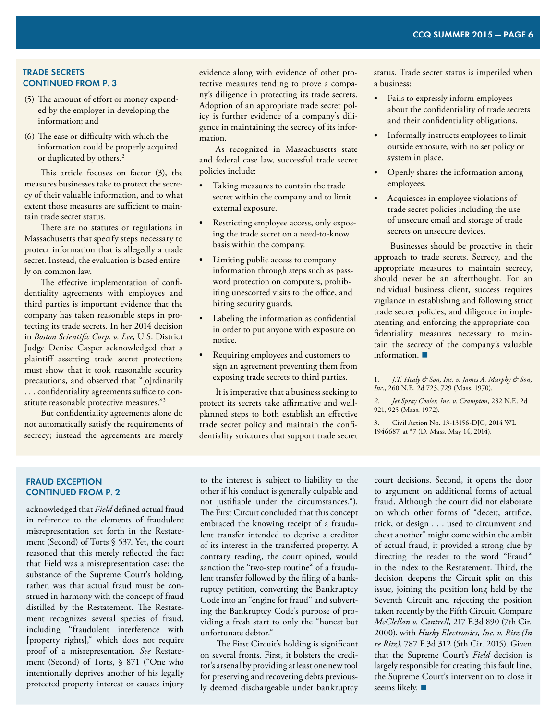#### **trade secrets ContinueD from p. 3**

- (5) The amount of effort or money expended by the employer in developing the information; and
- (6) The ease or difficulty with which the information could be properly acquired or duplicated by others.<sup>2</sup>

This article focuses on factor (3), the measures businesses take to protect the secrecy of their valuable information, and to what extent those measures are sufficient to maintain trade secret status.

There are no statutes or regulations in Massachusetts that specify steps necessary to protect information that is allegedly a trade secret. Instead, the evaluation is based entirely on common law.

The effective implementation of confidentiality agreements with employees and third parties is important evidence that the company has taken reasonable steps in protecting its trade secrets. In her 2014 decision in *Boston Scientific Corp. v. Lee,* U.S. District Judge Denise Casper acknowledged that a plaintiff asserting trade secret protections must show that it took reasonable security precautions, and observed that "[o]rdinarily . . . confidentiality agreements suffice to constitute reasonable protective measures."3

But confidentiality agreements alone do not automatically satisfy the requirements of secrecy; instead the agreements are merely evidence along with evidence of other protective measures tending to prove a company's diligence in protecting its trade secrets. Adoption of an appropriate trade secret policy is further evidence of a company's diligence in maintaining the secrecy of its information.

As recognized in Massachusetts state and federal case law, successful trade secret policies include:

- Taking measures to contain the trade secret within the company and to limit external exposure.
- Restricting employee access, only exposing the trade secret on a need-to-know basis within the company.
- Limiting public access to company information through steps such as password protection on computers, prohibiting unescorted visits to the office, and hiring security guards.
- Labeling the information as confidential in order to put anyone with exposure on notice.
- Requiring employees and customers to sign an agreement preventing them from exposing trade secrets to third parties.

It is imperative that a business seeking to protect its secrets take affirmative and wellplanned steps to both establish an effective trade secret policy and maintain the confidentiality strictures that support trade secret status. Trade secret status is imperiled when a business:

- Fails to expressly inform employees about the confidentiality of trade secrets and their confidentiality obligations.
- Informally instructs employees to limit outside exposure, with no set policy or system in place.
- • Openly shares the information among employees.
- • Acquiesces in employee violations of trade secret policies including the use of unsecure email and storage of trade secrets on unsecure devices.

Businesses should be proactive in their approach to trade secrets. Secrecy, and the appropriate measures to maintain secrecy, should never be an afterthought. For an individual business client, success requires vigilance in establishing and following strict trade secret policies, and diligence in implementing and enforcing the appropriate confidentiality measures necessary to maintain the secrecy of the company's valuable information.

 $\overline{a}$ 

*2. Jet Spray Cooler, Inc. v. Crampton,* 282 N.E. 2d 921, 925 (Mass. 1972).

3. Civil Action No. 13-13156-DJC, 2014 WL 1946687, at \*7 (D. Mass. May 14, 2014).

#### **fraud exception ContinueD from p. 2**

acknowledged that *Field* defined actual fraud in reference to the elements of fraudulent misrepresentation set forth in the Restatement (Second) of Torts § 537. Yet, the court reasoned that this merely reflected the fact that Field was a misrepresentation case; the substance of the Supreme Court's holding, rather, was that actual fraud must be construed in harmony with the concept of fraud distilled by the Restatement. The Restatement recognizes several species of fraud, including "fraudulent interference with [property rights]," which does not require proof of a misrepresentation. *See* Restatement (Second) of Torts, § 871 ("One who intentionally deprives another of his legally protected property interest or causes injury to the interest is subject to liability to the other if his conduct is generally culpable and not justifiable under the circumstances."). The First Circuit concluded that this concept embraced the knowing receipt of a fraudulent transfer intended to deprive a creditor of its interest in the transferred property. A contrary reading, the court opined, would sanction the "two-step routine" of a fraudulent transfer followed by the filing of a bankruptcy petition, converting the Bankruptcy Code into an "engine for fraud" and subverting the Bankruptcy Code's purpose of providing a fresh start to only the "honest but unfortunate debtor."

The First Circuit's holding is significant on several fronts. First, it bolsters the creditor's arsenal by providing at least one new tool for preserving and recovering debts previously deemed dischargeable under bankruptcy

court decisions. Second, it opens the door to argument on additional forms of actual fraud. Although the court did not elaborate on which other forms of "deceit, artifice, trick, or design . . . used to circumvent and cheat another" might come within the ambit of actual fraud, it provided a strong clue by directing the reader to the word "Fraud" in the index to the Restatement. Third, the decision deepens the Circuit split on this issue, joining the position long held by the Seventh Circuit and rejecting the position taken recently by the Fifth Circuit. Compare *McClellan v. Cantrell,* 217 F.3d 890 (7th Cir. 2000), with *Husky Electronics, Inc. v. Ritz (In re Ritz)*, 787 F.3d 312 (5th Cir. 2015). Given that the Supreme Court's *Field* decision is largely responsible for creating this fault line, the Supreme Court's intervention to close it seems likely.

<sup>1.</sup> *J.T. Healy & Son, Inc. v. James A. Murphy & Son, Inc.*, 260 N.E. 2d 723, 729 (Mass. 1970).